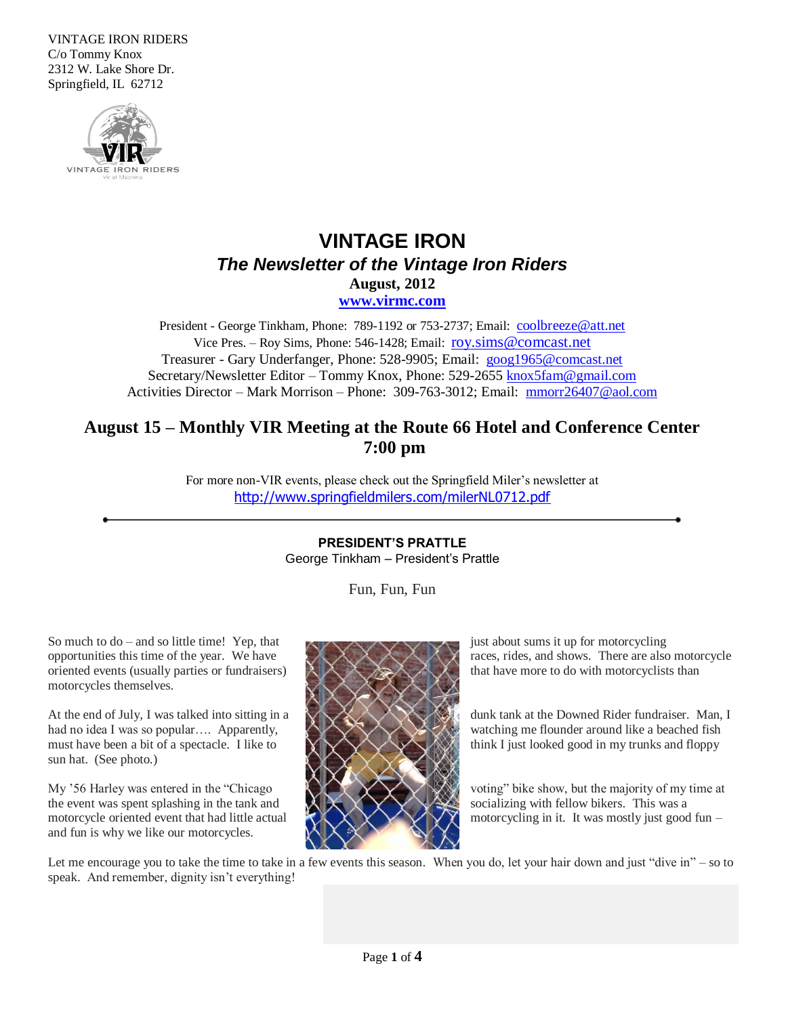VINTAGE IRON RIDERS C/o Tommy Knox 2312 W. Lake Shore Dr. Springfield, IL 62712



# **VINTAGE IRON** *The Newsletter of the Vintage Iron Riders* **August, 2012 [www.virmc.com](http://www.virmc.com/)**

President - George Tinkham, Phone: 789-1192 or 753-2737; Email: [coolbreeze@att.net](mailto:coolbreeze@att.net) Vice Pres. – Roy Sims, Phone: 546-1428; Email: [roy.sims@comcast.net](mailto:roy.sims@comcast.net) Treasurer - Gary Underfanger, Phone: 528-9905; Email: [goog1965@comcast.net](mailto:goog1965@comcast.net) Secretary/Newsletter Editor – Tommy Knox, Phone: 529-2655 [knox5fam@gmail.com](mailto:knox5fam@gmail.com) Activities Director – Mark Morrison – Phone: 309-763-3012; Email: [mmorr26407@aol.com](mailto:mmorr26407@aol.com)

# **August 15 – Monthly VIR Meeting at the Route 66 Hotel and Conference Center 7:00 pm**

For more non-VIR events, please check out the Springfield Miler's newsletter at <http://www.springfieldmilers.com/milerNL0712.pdf>

> **PRESIDENT'S PRATTLE** George Tinkham – President's Prattle

> > Fun, Fun, Fun

So much to  $do -$  and so little time! Yep, that  $\blacksquare$  just about sums it up for motorcycling oriented events (usually parties or fundraisers)  $\lambda$ ,  $\lambda$ ,  $\lambda$ ,  $\lambda$ , that have more to do with motorcyclists than motorcycles themselves.

sun hat. (See photo.)

the event was spent splashing in the tank and  $\mathcal{X} \times \mathcal{Y} \times \mathcal{Y}$  socializing with fellow bikers. This was a and fun is why we like our motorcycles.



opportunities this time of the year. We have  $\forall x \times x \times x$  races, rides, and shows. There are also motorcycle

At the end of July, I was talked into sitting in a  $\Box$ had no idea I was so popular…. Apparently, and the solution of the flounder around like a beached fish must have been a bit of a spectacle. I like to think I just looked good in my trunks and floppy

My '56 Harley was entered in the "Chicago voting" bike show, but the majority of my time at motorcycle oriented event that had little actual  $\forall x \times x$  motorcycling in it. It was mostly just good fun –

Let me encourage you to take the time to take in a few events this season. When you do, let your hair down and just "dive in" – so to speak. And remember, dignity isn't everything!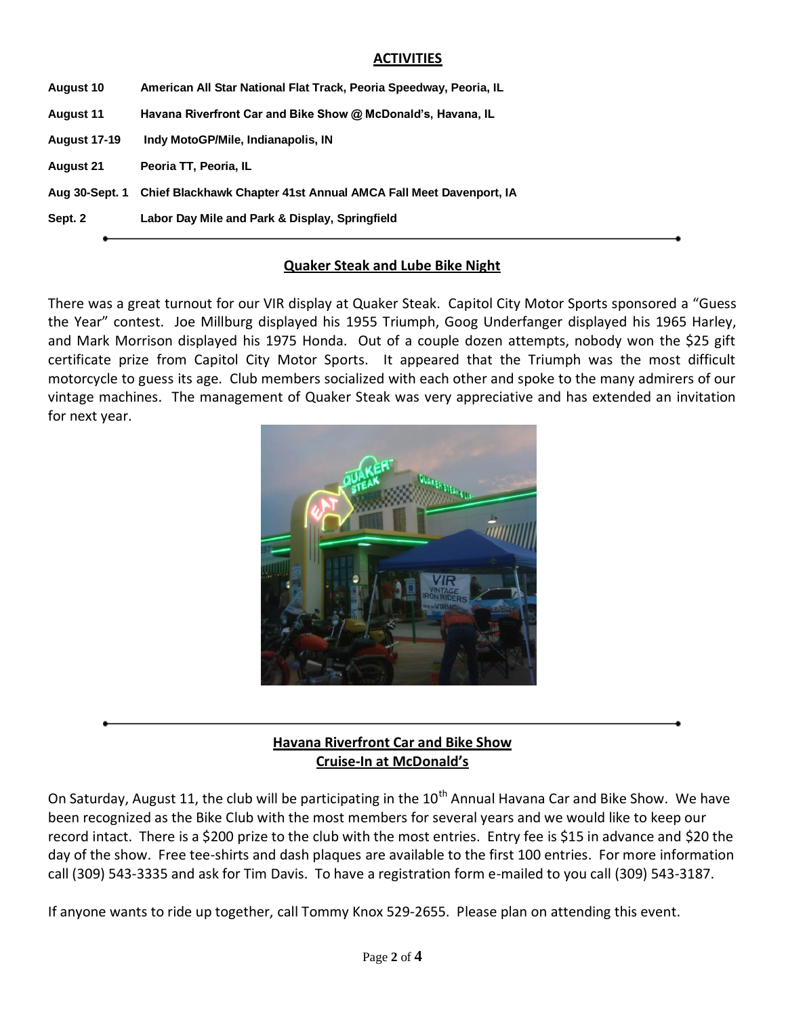## **ACTIVITIES**

| <b>August 10</b>    | American All Star National Flat Track, Peoria Speedway, Peoria, IL |  |  |  |  |  |
|---------------------|--------------------------------------------------------------------|--|--|--|--|--|
| <b>August 11</b>    | Havana Riverfront Car and Bike Show @ McDonald's, Havana, IL       |  |  |  |  |  |
| <b>August 17-19</b> | Indy MotoGP/Mile, Indianapolis, IN                                 |  |  |  |  |  |
| <b>August 21</b>    | Peoria TT, Peoria, IL                                              |  |  |  |  |  |
| Aug 30-Sept. 1      | Chief Blackhawk Chapter 41st Annual AMCA Fall Meet Davenport, IA   |  |  |  |  |  |
| Sept. 2             | Labor Day Mile and Park & Display, Springfield                     |  |  |  |  |  |
|                     |                                                                    |  |  |  |  |  |
|                     |                                                                    |  |  |  |  |  |

# **Quaker Steak and Lube Bike Night**

There was a great turnout for our VIR display at Quaker Steak. Capitol City Motor Sports sponsored a "Guess the Year" contest. Joe Millburg displayed his 1955 Triumph, Goog Underfanger displayed his 1965 Harley, and Mark Morrison displayed his 1975 Honda. Out of a couple dozen attempts, nobody won the \$25 gift certificate prize from Capitol City Motor Sports. It appeared that the Triumph was the most difficult motorcycle to guess its age. Club members socialized with each other and spoke to the many admirers of our vintage machines. The management of Quaker Steak was very appreciative and has extended an invitation for next year.



**Havana Riverfront Car and Bike Show Cruise-In at McDonald's**

On Saturday, August 11, the club will be participating in the  $10^{th}$  Annual Havana Car and Bike Show. We have been recognized as the Bike Club with the most members for several years and we would like to keep our record intact. There is a \$200 prize to the club with the most entries. Entry fee is \$15 in advance and \$20 the day of the show. Free tee-shirts and dash plaques are available to the first 100 entries. For more information call (309) 543-3335 and ask for Tim Davis. To have a registration form e-mailed to you call (309) 543-3187.

If anyone wants to ride up together, call Tommy Knox 529-2655. Please plan on attending this event.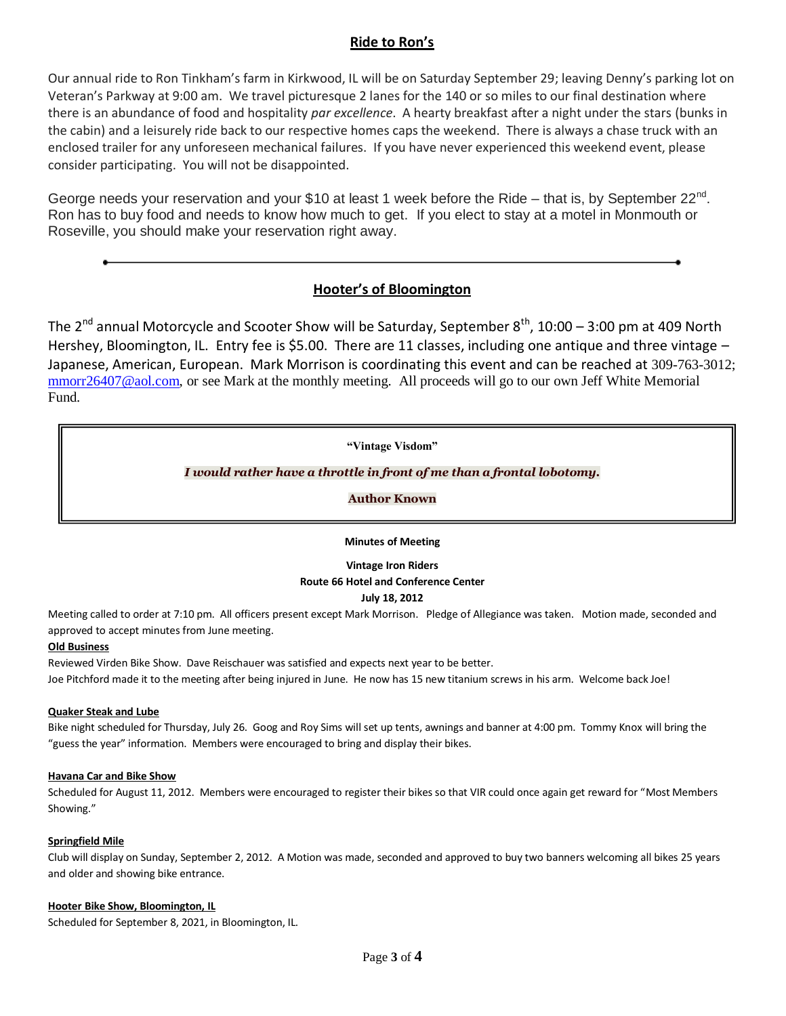# **Ride to Ron's**

Our annual ride to Ron Tinkham's farm in Kirkwood, IL will be on Saturday September 29; leaving Denny's parking lot on Veteran's Parkway at 9:00 am. We travel picturesque 2 lanes for the 140 or so miles to our final destination where there is an abundance of food and hospitality *par excellence*. A hearty breakfast after a night under the stars (bunks in the cabin) and a leisurely ride back to our respective homes caps the weekend. There is always a chase truck with an enclosed trailer for any unforeseen mechanical failures. If you have never experienced this weekend event, please consider participating. You will not be disappointed.

George needs your reservation and your \$10 at least 1 week before the Ride - that is, by September 22<sup>nd</sup>. Ron has to buy food and needs to know how much to get. If you elect to stay at a motel in Monmouth or Roseville, you should make your reservation right away.

# **Hooter's of Bloomington**

The  $2^{nd}$  annual Motorcycle and Scooter Show will be Saturday, September  $8^{th}$ , 10:00 – 3:00 pm at 409 North Hershey, Bloomington, IL. Entry fee is \$5.00. There are 11 classes, including one antique and three vintage – Japanese, American, European. Mark Morrison is coordinating this event and can be reached at 309-763-3012; [mmorr26407@aol.com,](mailto:mmorr26407@aol.com) or see Mark at the monthly meeting. All proceeds will go to our own Jeff White Memorial Fund.

**"Vintage Visdom"**

### *I would rather have a throttle in front of me than a frontal lobotomy.*

**Author Known**

**Minutes of Meeting**

**Vintage Iron Riders**

#### **Route 66 Hotel and Conference Center**

#### **July 18, 2012**

Meeting called to order at 7:10 pm. All officers present except Mark Morrison. Pledge of Allegiance was taken. Motion made, seconded and approved to accept minutes from June meeting.

#### **Old Business**

Reviewed Virden Bike Show. Dave Reischauer was satisfied and expects next year to be better. Joe Pitchford made it to the meeting after being injured in June. He now has 15 new titanium screws in his arm. Welcome back Joe!

#### **Quaker Steak and Lube**

Bike night scheduled for Thursday, July 26. Goog and Roy Sims will set up tents, awnings and banner at 4:00 pm. Tommy Knox will bring the "guess the year" information. Members were encouraged to bring and display their bikes.

#### **Havana Car and Bike Show**

Scheduled for August 11, 2012. Members were encouraged to register their bikes so that VIR could once again get reward for "Most Members Showing."

#### **Springfield Mile**

Club will display on Sunday, September 2, 2012. A Motion was made, seconded and approved to buy two banners welcoming all bikes 25 years and older and showing bike entrance.

#### **Hooter Bike Show, Bloomington, IL**

Scheduled for September 8, 2021, in Bloomington, IL.